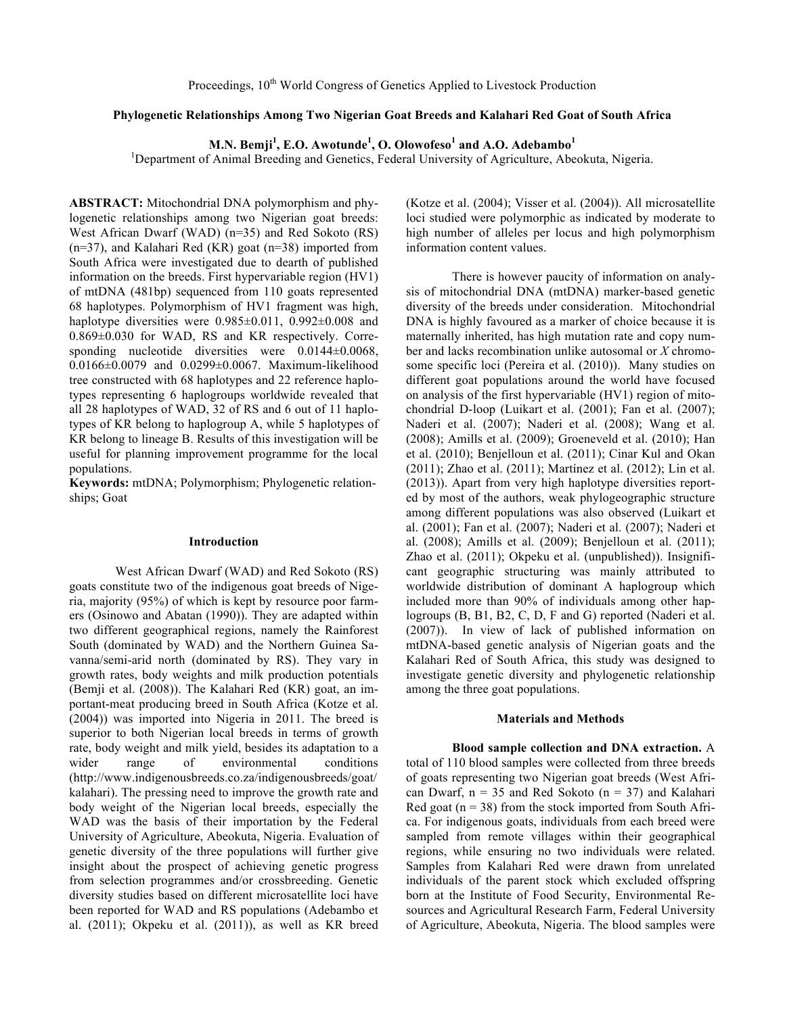# **Phylogenetic Relationships Among Two Nigerian Goat Breeds and Kalahari Red Goat of South Africa**

**M.N. Bemji<sup>1</sup> , E.O. Awotunde<sup>1</sup> , O. Olowofeso<sup>1</sup> and A.O. Adebambo<sup>1</sup>**

<sup>1</sup>Department of Animal Breeding and Genetics, Federal University of Agriculture, Abeokuta, Nigeria.

**ABSTRACT:** Mitochondrial DNA polymorphism and phylogenetic relationships among two Nigerian goat breeds: West African Dwarf (WAD) (n=35) and Red Sokoto (RS)  $(n=37)$ , and Kalahari Red (KR) goat  $(n=38)$  imported from South Africa were investigated due to dearth of published information on the breeds. First hypervariable region (HV1) of mtDNA (481bp) sequenced from 110 goats represented 68 haplotypes. Polymorphism of HV1 fragment was high, haplotype diversities were  $0.985\pm0.011$ ,  $0.992\pm0.008$  and 0.869±0.030 for WAD, RS and KR respectively. Corresponding nucleotide diversities were  $0.0144\pm0.0068$ , 0.0166±0.0079 and 0.0299±0.0067. Maximum-likelihood tree constructed with 68 haplotypes and 22 reference haplotypes representing 6 haplogroups worldwide revealed that all 28 haplotypes of WAD, 32 of RS and 6 out of 11 haplotypes of KR belong to haplogroup A, while 5 haplotypes of KR belong to lineage B. Results of this investigation will be useful for planning improvement programme for the local populations.

**Keywords:** mtDNA; Polymorphism; Phylogenetic relationships; Goat

# **Introduction**

West African Dwarf (WAD) and Red Sokoto (RS) goats constitute two of the indigenous goat breeds of Nigeria, majority (95%) of which is kept by resource poor farmers (Osinowo and Abatan (1990)). They are adapted within two different geographical regions, namely the Rainforest South (dominated by WAD) and the Northern Guinea Savanna/semi-arid north (dominated by RS). They vary in growth rates, body weights and milk production potentials (Bemji et al. (2008)). The Kalahari Red (KR) goat, an important-meat producing breed in South Africa (Kotze et al. (2004)) was imported into Nigeria in 2011. The breed is superior to both Nigerian local breeds in terms of growth rate, body weight and milk yield, besides its adaptation to a wider range of environmental conditions (http://www.indigenousbreeds.co.za/indigenousbreeds/goat/ kalahari). The pressing need to improve the growth rate and body weight of the Nigerian local breeds, especially the WAD was the basis of their importation by the Federal University of Agriculture, Abeokuta, Nigeria. Evaluation of genetic diversity of the three populations will further give insight about the prospect of achieving genetic progress from selection programmes and/or crossbreeding. Genetic diversity studies based on different microsatellite loci have been reported for WAD and RS populations (Adebambo et al. (2011); Okpeku et al. (2011)), as well as KR breed

(Kotze et al. (2004); Visser et al. (2004)). All microsatellite loci studied were polymorphic as indicated by moderate to high number of alleles per locus and high polymorphism information content values.

There is however paucity of information on analysis of mitochondrial DNA (mtDNA) marker-based genetic diversity of the breeds under consideration. Mitochondrial DNA is highly favoured as a marker of choice because it is maternally inherited, has high mutation rate and copy number and lacks recombination unlike autosomal or *X* chromosome specific loci (Pereira et al. (2010)). Many studies on different goat populations around the world have focused on analysis of the first hypervariable (HV1) region of mitochondrial D-loop (Luikart et al. (2001); Fan et al. (2007); Naderi et al. (2007); Naderi et al. (2008); Wang et al. (2008); Amills et al. (2009); Groeneveld et al. (2010); Han et al. (2010); Benjelloun et al. (2011); Cinar Kul and Okan (2011); Zhao et al. (2011); Martínez et al. (2012); Lin et al. (2013)). Apart from very high haplotype diversities reported by most of the authors, weak phylogeographic structure among different populations was also observed (Luikart et al. (2001); Fan et al. (2007); Naderi et al. (2007); Naderi et al. (2008); Amills et al. (2009); Benjelloun et al. (2011); Zhao et al. (2011); Okpeku et al. (unpublished)). Insignificant geographic structuring was mainly attributed to worldwide distribution of dominant A haplogroup which included more than 90% of individuals among other haplogroups (B, B1, B2, C, D, F and G) reported (Naderi et al. (2007)). In view of lack of published information on mtDNA-based genetic analysis of Nigerian goats and the Kalahari Red of South Africa, this study was designed to investigate genetic diversity and phylogenetic relationship among the three goat populations.

## **Materials and Methods**

**Blood sample collection and DNA extraction.** A total of 110 blood samples were collected from three breeds of goats representing two Nigerian goat breeds (West African Dwarf,  $n = 35$  and Red Sokoto ( $n = 37$ ) and Kalahari Red goat ( $n = 38$ ) from the stock imported from South Africa. For indigenous goats, individuals from each breed were sampled from remote villages within their geographical regions, while ensuring no two individuals were related. Samples from Kalahari Red were drawn from unrelated individuals of the parent stock which excluded offspring born at the Institute of Food Security, Environmental Resources and Agricultural Research Farm, Federal University of Agriculture, Abeokuta, Nigeria. The blood samples were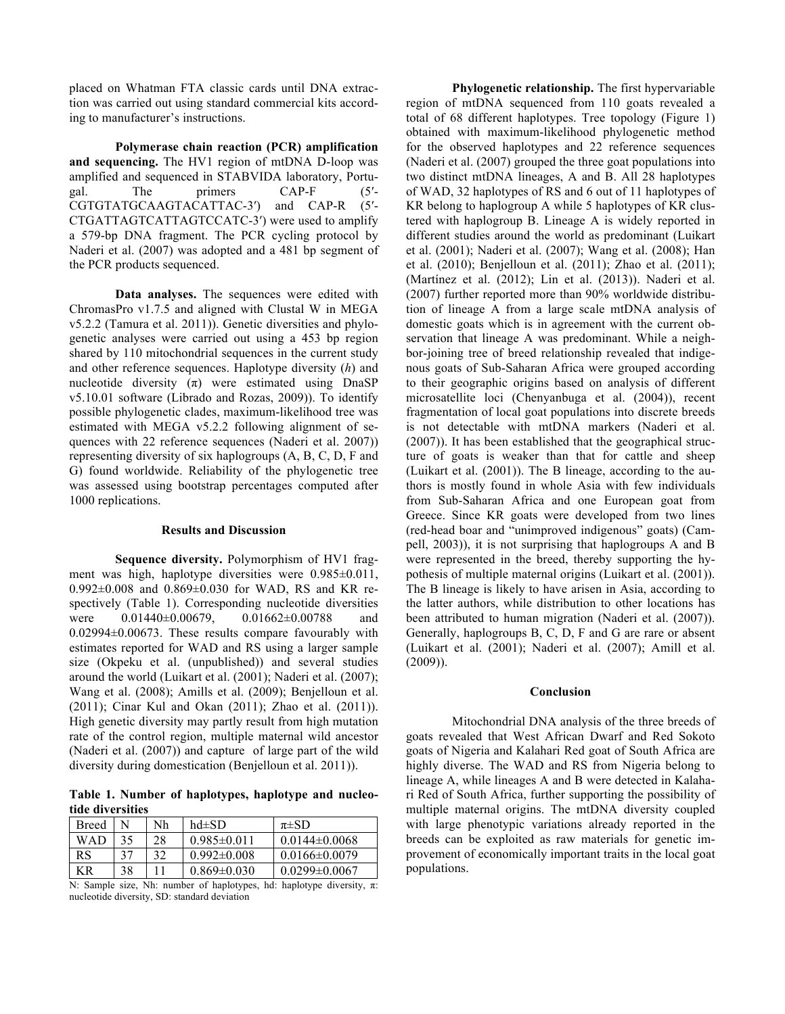placed on Whatman FTA classic cards until DNA extraction was carried out using standard commercial kits according to manufacturer's instructions.

**Polymerase chain reaction (PCR) amplification and sequencing.** The HV1 region of mtDNA D-loop was amplified and sequenced in STABVIDA laboratory, Portugal. The primers CAP-F (5′- CGTGTATGCAAGTACATTAC-3′) and CAP-R (5′- CTGATTAGTCATTAGTCCATC-3′) were used to amplify a 579-bp DNA fragment. The PCR cycling protocol by Naderi et al. (2007) was adopted and a 481 bp segment of the PCR products sequenced.

**Data analyses.** The sequences were edited with ChromasPro v1.7.5 and aligned with Clustal W in MEGA v5.2.2 (Tamura et al. 2011)). Genetic diversities and phylogenetic analyses were carried out using a 453 bp region shared by 110 mitochondrial sequences in the current study and other reference sequences. Haplotype diversity (*h*) and nucleotide diversity  $(\pi)$  were estimated using DnaSP v5.10.01 software (Librado and Rozas, 2009)). To identify possible phylogenetic clades, maximum-likelihood tree was estimated with MEGA v5.2.2 following alignment of sequences with 22 reference sequences (Naderi et al. 2007)) representing diversity of six haplogroups (A, B, C, D, F and G) found worldwide. Reliability of the phylogenetic tree was assessed using bootstrap percentages computed after 1000 replications.

## **Results and Discussion**

**Sequence diversity.** Polymorphism of HV1 fragment was high, haplotype diversities were 0.985±0.011, 0.992±0.008 and 0.869±0.030 for WAD, RS and KR respectively (Table 1). Corresponding nucleotide diversities were  $0.01440 \pm 0.00679$ ,  $0.01662 \pm 0.00788$  and 0.02994±0.00673. These results compare favourably with estimates reported for WAD and RS using a larger sample size (Okpeku et al. (unpublished)) and several studies around the world (Luikart et al. (2001); Naderi et al. (2007); Wang et al. (2008); Amills et al. (2009); Benjelloun et al. (2011); Cinar Kul and Okan (2011); Zhao et al. (2011)). High genetic diversity may partly result from high mutation rate of the control region, multiple maternal wild ancestor (Naderi et al. (2007)) and capture of large part of the wild diversity during domestication (Benjelloun et al. 2011)).

**Table 1. Number of haplotypes, haplotype and nucleotide diversities**

| <b>Breed</b>                |    | Nh | $hd\pm SD$        | $\pi\pm SD$         |
|-----------------------------|----|----|-------------------|---------------------|
| <b>WAD</b>                  | 35 | 28 | $0.985 \pm 0.011$ | $0.0144\pm0.0068$   |
| RS                          | 37 | 32 | $0.992 \pm 0.008$ | $0.0166 \pm 0.0079$ |
| ΚR                          | 38 |    | $0.869 \pm 0.030$ | $0.0299 \pm 0.0067$ |
| .<br>$-$<br>____<br>__<br>. |    |    |                   |                     |

N: Sample size, Nh: number of haplotypes, hd: haplotype diversity,  $\pi$ : nucleotide diversity, SD: standard deviation

**Phylogenetic relationship.** The first hypervariable region of mtDNA sequenced from 110 goats revealed a total of 68 different haplotypes. Tree topology (Figure 1) obtained with maximum-likelihood phylogenetic method for the observed haplotypes and 22 reference sequences (Naderi et al. (2007) grouped the three goat populations into two distinct mtDNA lineages, A and B. All 28 haplotypes of WAD, 32 haplotypes of RS and 6 out of 11 haplotypes of KR belong to haplogroup A while 5 haplotypes of KR clustered with haplogroup B. Lineage A is widely reported in different studies around the world as predominant (Luikart et al. (2001); Naderi et al. (2007); Wang et al. (2008); Han et al. (2010); Benjelloun et al. (2011); Zhao et al. (2011); (Martínez et al. (2012); Lin et al. (2013)). Naderi et al. (2007) further reported more than 90% worldwide distribution of lineage A from a large scale mtDNA analysis of domestic goats which is in agreement with the current observation that lineage A was predominant. While a neighbor-joining tree of breed relationship revealed that indigenous goats of Sub-Saharan Africa were grouped according to their geographic origins based on analysis of different microsatellite loci (Chenyanbuga et al. (2004)), recent fragmentation of local goat populations into discrete breeds is not detectable with mtDNA markers (Naderi et al. (2007)). It has been established that the geographical structure of goats is weaker than that for cattle and sheep (Luikart et al. (2001)). The B lineage, according to the authors is mostly found in whole Asia with few individuals from Sub-Saharan Africa and one European goat from Greece. Since KR goats were developed from two lines (red-head boar and "unimproved indigenous" goats) (Campell, 2003)), it is not surprising that haplogroups A and B were represented in the breed, thereby supporting the hypothesis of multiple maternal origins (Luikart et al. (2001)). The B lineage is likely to have arisen in Asia, according to the latter authors, while distribution to other locations has been attributed to human migration (Naderi et al. (2007)). Generally, haplogroups B, C, D, F and G are rare or absent (Luikart et al. (2001); Naderi et al. (2007); Amill et al. (2009)).

## **Conclusion**

Mitochondrial DNA analysis of the three breeds of goats revealed that West African Dwarf and Red Sokoto goats of Nigeria and Kalahari Red goat of South Africa are highly diverse. The WAD and RS from Nigeria belong to lineage A, while lineages A and B were detected in Kalahari Red of South Africa, further supporting the possibility of multiple maternal origins. The mtDNA diversity coupled with large phenotypic variations already reported in the breeds can be exploited as raw materials for genetic improvement of economically important traits in the local goat populations.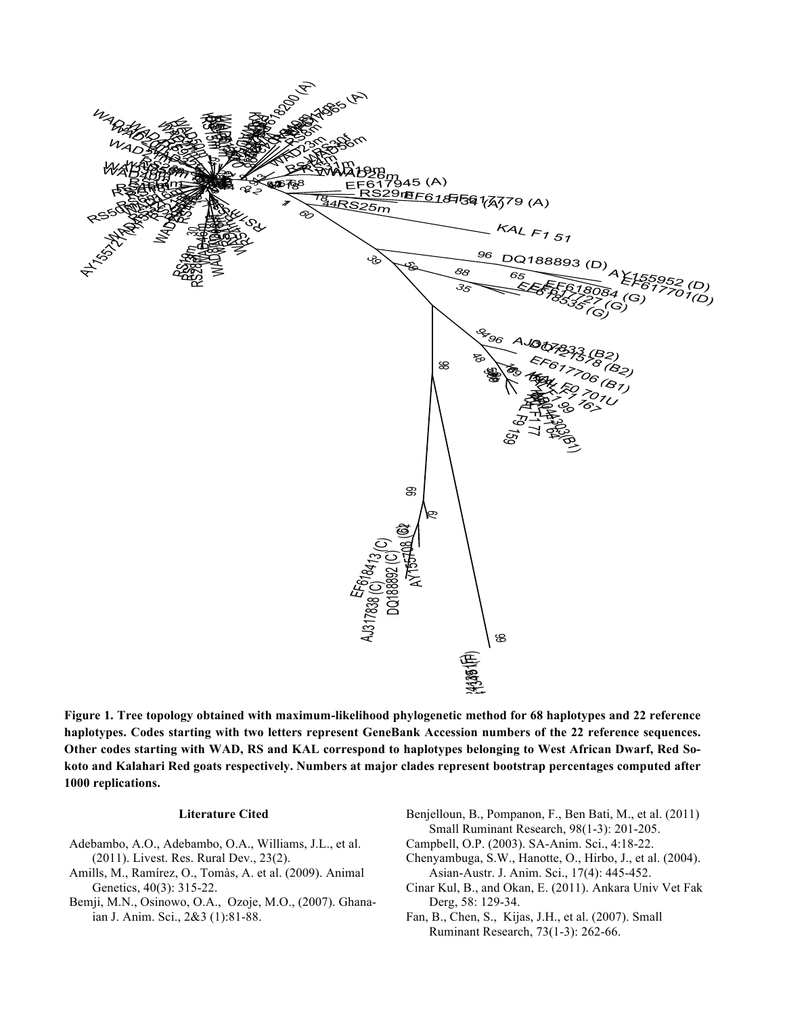

**haplotypes. Codes starting with two letters represent GeneBank Accession numbers of the 22 reference sequences. Other codes starting with WAD, RS and KAL correspond to haplotypes belonging to West African Dwarf, Red Sokoto and Kalahari Red goats respectively. Numbers at major clades represent bootstrap percentages computed after 1000 replications.**

## **Literature Cited**

- Adebambo, A.O., Adebambo, O.A., Williams, J.L., et al. (2011). Livest. Res. Rural Dev., 23(2).
- Amills, M., Ramírez, O., Tomàs, A. et al. (2009). Animal Genetics, 40(3): 315-22.
- Bemji, M.N., Osinowo, O.A., Ozoje, M.O., (2007). Ghanaian J. Anim. Sci., 2&3 (1):81-88.
- Benjelloun, B., Pompanon, F., Ben Bati, M., et al. (2011) Small Ruminant Research, 98(1-3): 201-205.
- Campbell, O.P. (2003). SA-Anim. Sci., 4:18-22.
- Chenyambuga, S.W., Hanotte, O., Hirbo, J., et al. (2004). Asian-Austr. J. Anim. Sci., 17(4): 445-452.
- Cinar Kul, B., and Okan, E. (2011). Ankara Univ Vet Fak Derg, 58: 129-34.
- Fan, B., Chen, S., Kijas, J.H., et al. (2007). Small Ruminant Research, 73(1-3): 262-66.